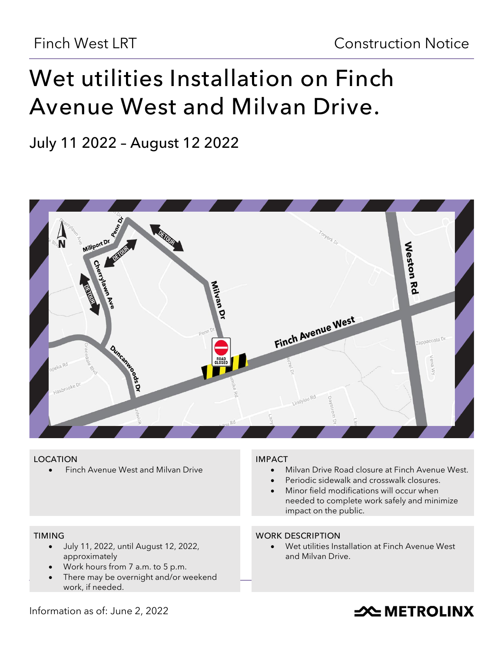# **Wet utilities Installation on Finch Avenue West and Milvan Drive.**

**July 11 2022 – August 12 2022**



## **LOCATION**

• Finch Avenue West and Milvan Drive

# **TIMING**

- July 11, 2022, until August 12, 2022, approximately
- Work hours from 7 a.m. to 5 p.m.
- There may be overnight and/or weekend work, if needed.

## **IMPACT**

- Milvan Drive Road closure at Finch Avenue West.
- Periodic sidewalk and crosswalk closures.
- Minor field modifications will occur when needed to complete work safely and minimize impact on the public.

## **WORK DESCRIPTION**

• Wet utilities Installation at Finch Avenue West and Milvan Drive.

# Information as of: June 2, 2022

# **SOUTHER THE METROLINX**